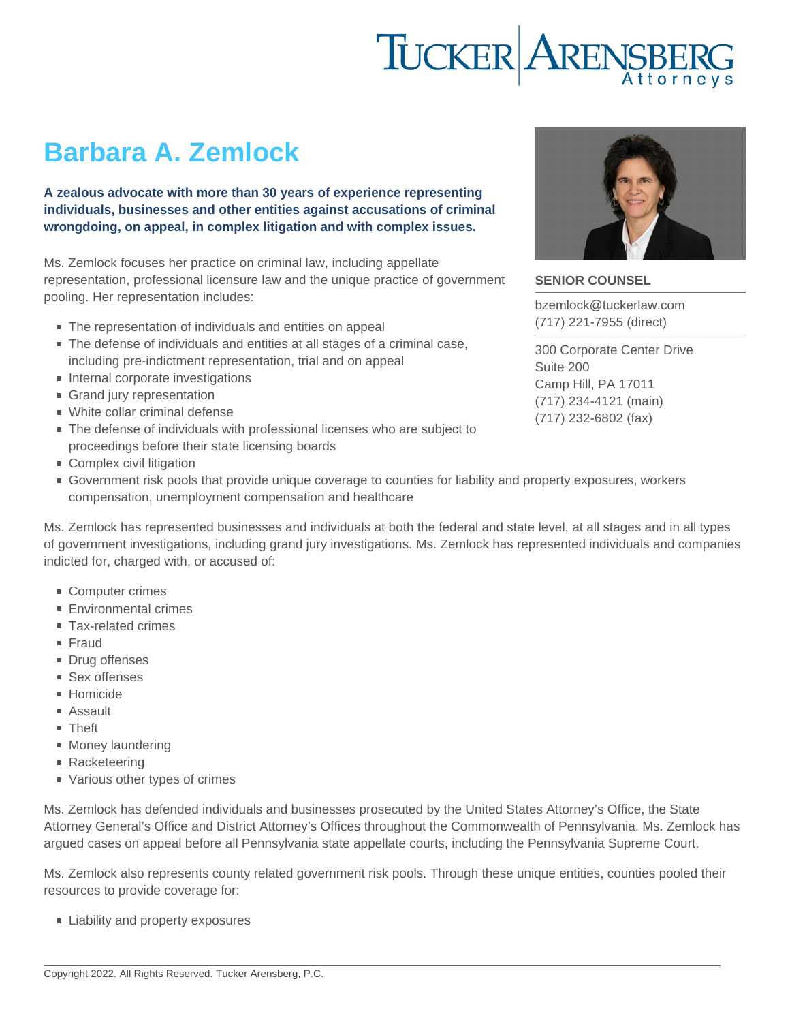# Barbara A. Zemlock

A zealous advocate with more than 30 years of experience representing individuals, businesses and other entities against accusations of criminal wrongdoing, on appeal, in complex litigation and with complex issues.

Ms. Zemlock focuses her practice on criminal law, including appellate representation, professional licensure law and the unique practice of government pooling. Her representation includes:

- The representation of individuals and entities on appeal
- The defense of individuals and entities at all stages of a criminal case, including pre-indictment representation, trial and on appeal
- Internal corporate investigations
- Grand jury representation
- White collar criminal defense
- The defense of individuals with professional licenses who are subject to proceedings before their state licensing boards
- Complex civil litigation
- Government risk pools that provide unique coverage to counties for liability and property exposures, workers compensation, unemployment compensation and healthcare

Ms. Zemlock has represented businesses and individuals at both the federal and state level, at all stages and in all types of government investigations, including grand jury investigations. Ms. Zemlock has represented individuals and companies indicted for, charged with, or accused of:

- Computer crimes
- **Environmental crimes**
- Tax-related crimes
- **Fraud**
- Drug offenses
- Sex offenses
- Homicide
- Assault
- **Theft**
- **Money laundering**
- Racketeering
- Various other types of crimes

Ms. Zemlock has defended individuals and businesses prosecuted by the United States Attorney's Office, the State Attorney General's Office and District Attorney's Offices throughout the Commonwealth of Pennsylvania. Ms. Zemlock has argued cases on appeal before all Pennsylvania state appellate courts, including the Pennsylvania Supreme Court.

Ms. Zemlock also represents county related government risk pools. Through these unique entities, counties pooled their resources to provide coverage for:

**Exercise Liability and property exposures** 

## SENIOR COUNSEL

[bzemlock@tuckerlaw.com](mailto:bzemlock@tuckerlaw.com) [\(717\) 221-7955](tel:7172217955) [\(direct\)](tel:7172217955)

[300 Corporate Center Drive](https://www.tuckerlaw.com/office/harrisburg/) [Suite 200](https://www.tuckerlaw.com/office/harrisburg/) [Camp Hill](https://www.tuckerlaw.com/office/harrisburg/), [PA](https://www.tuckerlaw.com/office/harrisburg/) [17011](https://www.tuckerlaw.com/office/harrisburg/) [\(717\) 234-4121](tel:7172344121) [\(main\)](tel:7172344121) [\(717\) 232-6802](tel:7172326802) [\(fax\)](tel:7172326802)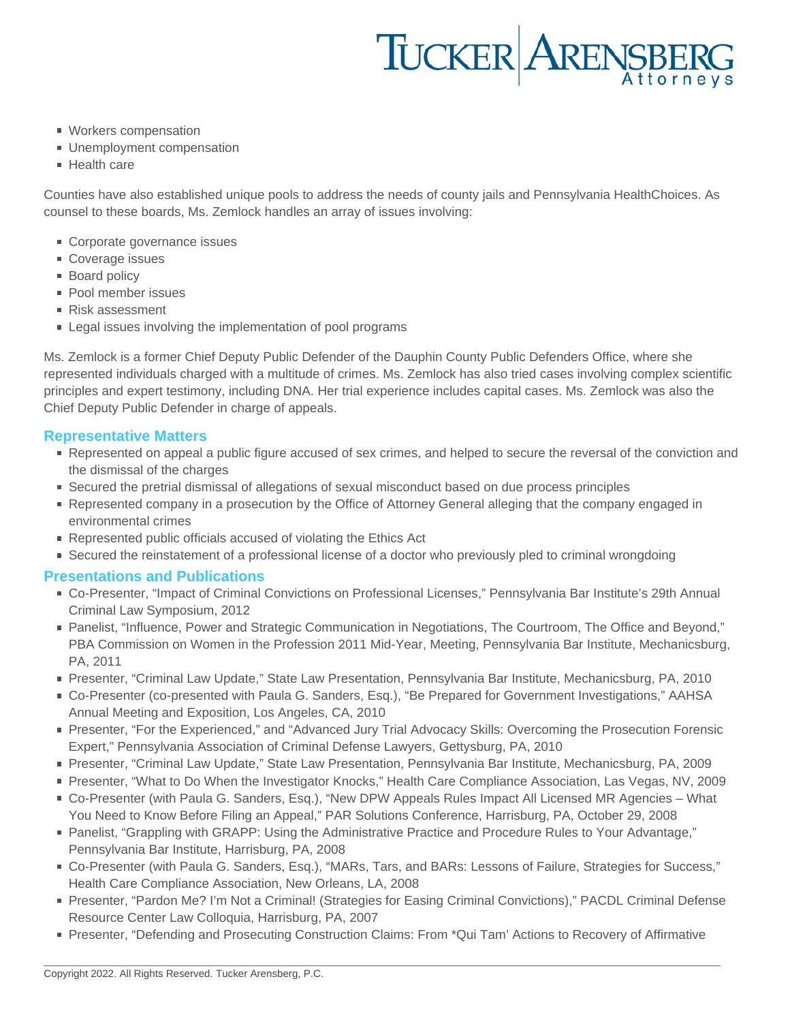# TUCKER ARENSBERG

- **Workers compensation**
- **Unemployment compensation**
- **Health care**

Counties have also established unique pools to address the needs of county jails and Pennsylvania HealthChoices. As counsel to these boards, Ms. Zemlock handles an array of issues involving:

- Corporate governance issues
- Coverage issues
- **Board policy**
- **Pool member issues**
- Risk assessment
- **Example 1** Legal issues involving the implementation of pool programs

Ms. Zemlock is a former Chief Deputy Public Defender of the Dauphin County Public Defenders Office, where she represented individuals charged with a multitude of crimes. Ms. Zemlock has also tried cases involving complex scientific principles and expert testimony, including DNA. Her trial experience includes capital cases. Ms. Zemlock was also the Chief Deputy Public Defender in charge of appeals.

# **Representative Matters**

- Represented on appeal a public figure accused of sex crimes, and helped to secure the reversal of the conviction and the dismissal of the charges
- Secured the pretrial dismissal of allegations of sexual misconduct based on due process principles
- Represented company in a prosecution by the Office of Attorney General alleging that the company engaged in environmental crimes
- Represented public officials accused of violating the Ethics Act
- Secured the reinstatement of a professional license of a doctor who previously pled to criminal wrongdoing

## **Presentations and Publications**

- Co-Presenter, "Impact of Criminal Convictions on Professional Licenses," Pennsylvania Bar Institute's 29th Annual Criminal Law Symposium, 2012
- Panelist, "Influence, Power and Strategic Communication in Negotiations, The Courtroom, The Office and Beyond," PBA Commission on Women in the Profession 2011 Mid-Year, Meeting, Pennsylvania Bar Institute, Mechanicsburg, PA, 2011
- Presenter, "Criminal Law Update," State Law Presentation, Pennsylvania Bar Institute, Mechanicsburg, PA, 2010
- Co-Presenter (co-presented with Paula G. Sanders, Esq.), "Be Prepared for Government Investigations," AAHSA Annual Meeting and Exposition, Los Angeles, CA, 2010
- Presenter, "For the Experienced," and "Advanced Jury Trial Advocacy Skills: Overcoming the Prosecution Forensic Expert," Pennsylvania Association of Criminal Defense Lawyers, Gettysburg, PA, 2010
- Presenter, "Criminal Law Update," State Law Presentation, Pennsylvania Bar Institute, Mechanicsburg, PA, 2009
- Presenter, "What to Do When the Investigator Knocks," Health Care Compliance Association, Las Vegas, NV, 2009
- Co-Presenter (with Paula G. Sanders, Esq.), "New DPW Appeals Rules Impact All Licensed MR Agencies What You Need to Know Before Filing an Appeal," PAR Solutions Conference, Harrisburg, PA, October 29, 2008
- Panelist, "Grappling with GRAPP: Using the Administrative Practice and Procedure Rules to Your Advantage," Pennsylvania Bar Institute, Harrisburg, PA, 2008
- Co-Presenter (with Paula G. Sanders, Esq.), "MARs, Tars, and BARs: Lessons of Failure, Strategies for Success," Health Care Compliance Association, New Orleans, LA, 2008
- Presenter, "Pardon Me? I'm Not a Criminal! (Strategies for Easing Criminal Convictions)," PACDL Criminal Defense Resource Center Law Colloquia, Harrisburg, PA, 2007
- Presenter, "Defending and Prosecuting Construction Claims: From \*Qui Tam' Actions to Recovery of Affirmative